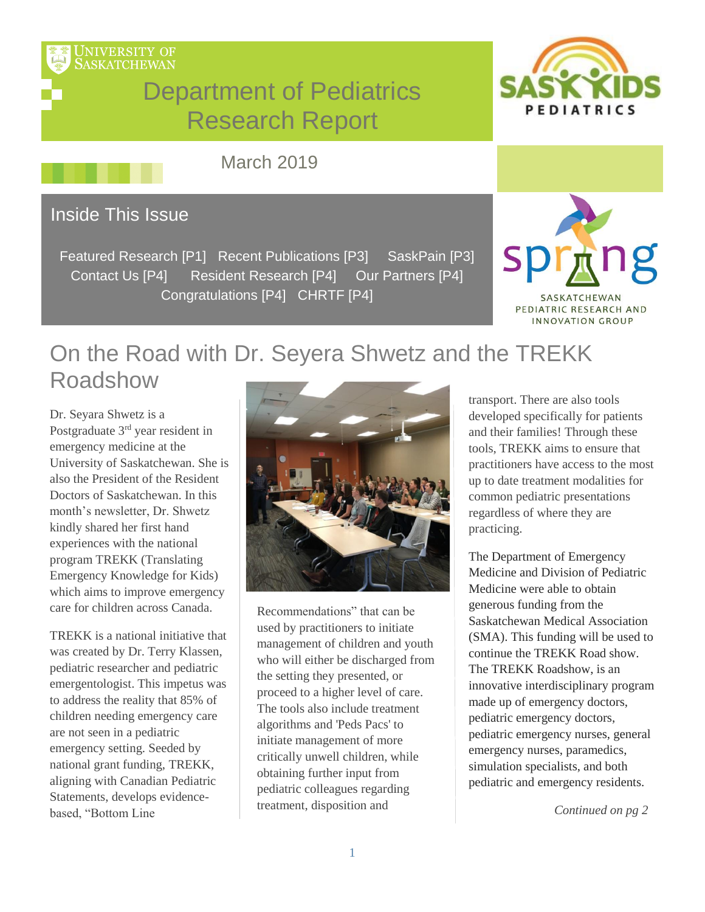

# Department of Pediatrics Research Report



March 2019

## Inside This Issue

Featured Research [P1] Recent Publications [P3] SaskPain [P3] Contact Us [P4] Resident Research [P4] Our Partners [P4] Congratulations [P4] CHRTF [P4]



# On the Road with Dr. Seyera Shwetz and the TREKK Roadshow

Dr. Seyara Shwetz is a Postgraduate 3rd year resident in emergency medicine at the University of Saskatchewan. She is also the President of the Resident Doctors of Saskatchewan. In this month's newsletter, Dr. Shwetz kindly shared her first hand experiences with the national program TREKK (Translating Emergency Knowledge for Kids) which aims to improve emergency care for children across Canada.

TREKK is a national initiative that was created by Dr. Terry Klassen, pediatric researcher and pediatric emergentologist. This impetus was to address the reality that 85% of children needing emergency care are not seen in a pediatric emergency setting. Seeded by national grant funding, TREKK, aligning with Canadian Pediatric Statements, develops evidencebased, "Bottom Line



Recommendations" that can be used by practitioners to initiate management of children and youth who will either be discharged from the setting they presented, or proceed to a higher level of care. The tools also include treatment algorithms and 'Peds Pacs' to initiate management of more critically unwell children, while obtaining further input from pediatric colleagues regarding treatment, disposition and

transport. There are also tools developed specifically for patients and their families! Through these tools, TREKK aims to ensure that practitioners have access to the most up to date treatment modalities for common pediatric presentations regardless of where they are practicing.

The Department of Emergency Medicine and Division of Pediatric Medicine were able to obtain generous funding from the Saskatchewan Medical Association (SMA). This funding will be used to continue the TREKK Road show. The TREKK Roadshow, is an innovative interdisciplinary program made up of emergency doctors, pediatric emergency doctors, pediatric emergency nurses, general emergency nurses, paramedics, simulation specialists, and both pediatric and emergency residents.

 *Continued on pg 2*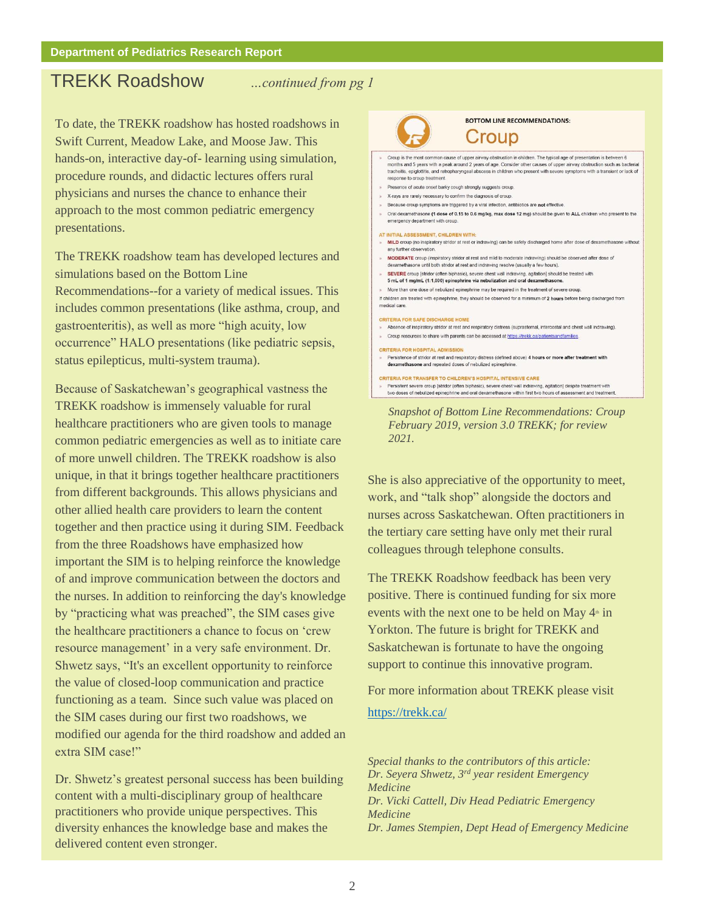## TREKK Roadshow *…continued from pg 1*

To date, the TREKK roadshow has hosted roadshows in Swift Current, Meadow Lake, and Moose Jaw. This hands-on, interactive day-of- learning using simulation, procedure rounds, and didactic lectures offers rural physicians and nurses the chance to enhance their approach to the most common pediatric emergency presentations.

The TREKK roadshow team has developed lectures and simulations based on the Bottom Line Recommendations--for a variety of medical issues. This includes common presentations (like asthma, croup, and gastroenteritis), as well as more "high acuity, low occurrence" HALO presentations (like pediatric sepsis, status epilepticus, multi-system trauma).

Because of Saskatchewan's geographical vastness the TREKK roadshow is immensely valuable for rural healthcare practitioners who are given tools to manage common pediatric emergencies as well as to initiate care of more unwell children. The TREKK roadshow is also unique, in that it brings together healthcare practitioners from different backgrounds. This allows physicians and other allied health care providers to learn the content together and then practice using it during SIM. Feedback from the three Roadshows have emphasized how important the SIM is to helping reinforce the knowledge of and improve communication between the doctors and the nurses. In addition to reinforcing the day's knowledge by "practicing what was preached", the SIM cases give the healthcare practitioners a chance to focus on 'crew resource management' in a very safe environment. Dr. Shwetz says, "It's an excellent opportunity to reinforce the value of closed-loop communication and practice functioning as a team. Since such value was placed on the SIM cases during our first two roadshows, we modified our agenda for the third roadshow and added an extra SIM case!"

Dr. Shwetz's greatest personal success has been building content with a multi-disciplinary group of healthcare practitioners who provide unique perspectives. This diversity enhances the knowledge base and makes the delivered content even stronger.



*Snapshot of Bottom Line Recommendations: Croup February 2019, version 3.0 TREKK; for review 2021.*

She is also appreciative of the opportunity to meet, work, and "talk shop" alongside the doctors and nurses across Saskatchewan. Often practitioners in the tertiary care setting have only met their rural colleagues through telephone consults.

The TREKK Roadshow feedback has been very positive. There is continued funding for six more events with the next one to be held on May  $4<sup>*</sup>$  in Yorkton. The future is bright for TREKK and Saskatchewan is fortunate to have the ongoing support to continue this innovative program.

For more information about TREKK please visit

<https://trekk.ca/>

*Special thanks to the contributors of this article: Dr. Seyera Shwetz, 3rd year resident Emergency Medicine Dr. Vicki Cattell, Div Head Pediatric Emergency Medicine Dr. James Stempien, Dept Head of Emergency Medicine*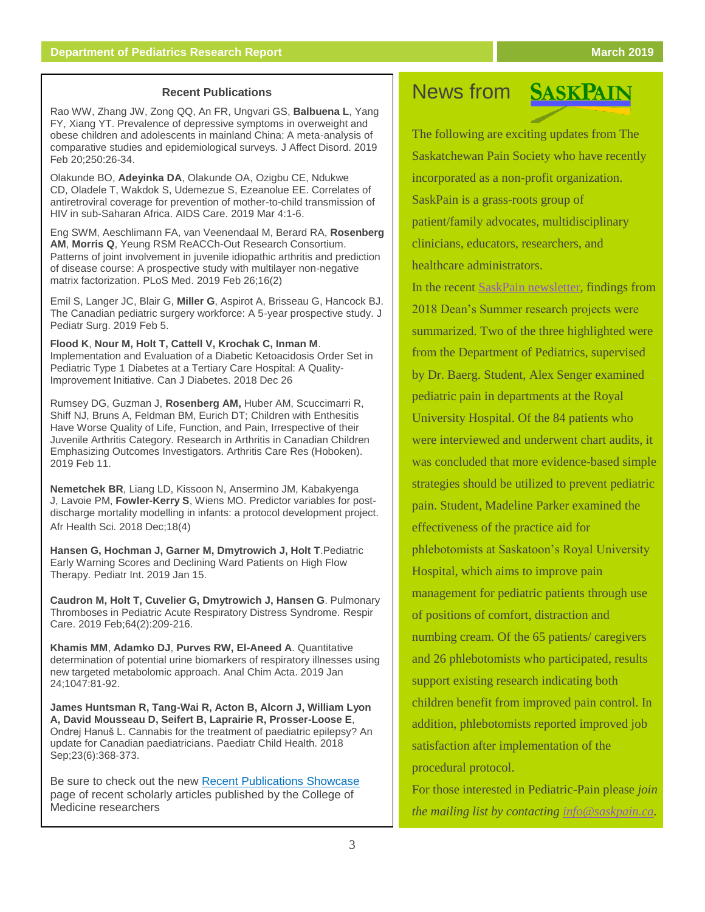### **Recent Publications**

[Rao WW,](https://www.ncbi.nlm.nih.gov/pubmed/?term=Rao%20WW%5BAuthor%5D&cauthor=true&cauthor_uid=30826491) [Zhang JW,](https://www.ncbi.nlm.nih.gov/pubmed/?term=Zhang%20JW%5BAuthor%5D&cauthor=true&cauthor_uid=30826491) [Zong QQ,](https://www.ncbi.nlm.nih.gov/pubmed/?term=Zong%20QQ%5BAuthor%5D&cauthor=true&cauthor_uid=30826491) [An FR,](https://www.ncbi.nlm.nih.gov/pubmed/?term=An%20FR%5BAuthor%5D&cauthor=true&cauthor_uid=30826491) [Ungvari GS,](https://www.ncbi.nlm.nih.gov/pubmed/?term=Ungvari%20GS%5BAuthor%5D&cauthor=true&cauthor_uid=30826491) **[Balbuena L](https://www.ncbi.nlm.nih.gov/pubmed/?term=Balbuena%20L%5BAuthor%5D&cauthor=true&cauthor_uid=30826491)**, [Yang](https://www.ncbi.nlm.nih.gov/pubmed/?term=Yang%20FY%5BAuthor%5D&cauthor=true&cauthor_uid=30826491)  [FY,](https://www.ncbi.nlm.nih.gov/pubmed/?term=Yang%20FY%5BAuthor%5D&cauthor=true&cauthor_uid=30826491) [Xiang YT.](https://www.ncbi.nlm.nih.gov/pubmed/?term=Xiang%20YT%5BAuthor%5D&cauthor=true&cauthor_uid=30826491) Prevalence of depressive symptoms in overweight and obese children and adolescents in mainland China: A meta-analysis of comparative studies and epidemiological surveys. [J Affect Disord.](https://www.ncbi.nlm.nih.gov/pubmed/30826491) 2019 Feb 20;250:26-34.

[Olakunde BO,](https://www.ncbi.nlm.nih.gov/pubmed/?term=Olakunde%20BO%5BAuthor%5D&cauthor=true&cauthor_uid=30829049) **[Adeyinka DA](https://www.ncbi.nlm.nih.gov/pubmed/?term=Adeyinka%20DA%5BAuthor%5D&cauthor=true&cauthor_uid=30829049)**, [Olakunde OA,](https://www.ncbi.nlm.nih.gov/pubmed/?term=Olakunde%20OA%5BAuthor%5D&cauthor=true&cauthor_uid=30829049) [Ozigbu CE,](https://www.ncbi.nlm.nih.gov/pubmed/?term=Ozigbu%20CE%5BAuthor%5D&cauthor=true&cauthor_uid=30829049) [Ndukwe](https://www.ncbi.nlm.nih.gov/pubmed/?term=Ndukwe%20CD%5BAuthor%5D&cauthor=true&cauthor_uid=30829049)  [CD,](https://www.ncbi.nlm.nih.gov/pubmed/?term=Ndukwe%20CD%5BAuthor%5D&cauthor=true&cauthor_uid=30829049) [Oladele T,](https://www.ncbi.nlm.nih.gov/pubmed/?term=Oladele%20T%5BAuthor%5D&cauthor=true&cauthor_uid=30829049) [Wakdok S,](https://www.ncbi.nlm.nih.gov/pubmed/?term=Wakdok%20S%5BAuthor%5D&cauthor=true&cauthor_uid=30829049) [Udemezue S,](https://www.ncbi.nlm.nih.gov/pubmed/?term=Udemezue%20S%5BAuthor%5D&cauthor=true&cauthor_uid=30829049) [Ezeanolue EE.](https://www.ncbi.nlm.nih.gov/pubmed/?term=Ezeanolue%20EE%5BAuthor%5D&cauthor=true&cauthor_uid=30829049) Correlates of antiretroviral coverage for prevention of mother-to-child transmission of HIV in sub-Saharan Africa. [AIDS Care.](https://www.ncbi.nlm.nih.gov/pubmed/30829049) 2019 Mar 4:1-6.

[Eng SWM,](https://www.ncbi.nlm.nih.gov/pubmed/?term=Eng%20SWM%5BAuthor%5D&cauthor=true&cauthor_uid=30807586) [Aeschlimann FA,](https://www.ncbi.nlm.nih.gov/pubmed/?term=Aeschlimann%20FA%5BAuthor%5D&cauthor=true&cauthor_uid=30807586) [van Veenendaal M,](https://www.ncbi.nlm.nih.gov/pubmed/?term=van%20Veenendaal%20M%5BAuthor%5D&cauthor=true&cauthor_uid=30807586) [Berard RA,](https://www.ncbi.nlm.nih.gov/pubmed/?term=Berard%20RA%5BAuthor%5D&cauthor=true&cauthor_uid=30807586) **[Rosenberg](https://www.ncbi.nlm.nih.gov/pubmed/?term=Rosenberg%20AM%5BAuthor%5D&cauthor=true&cauthor_uid=30807586)  [AM](https://www.ncbi.nlm.nih.gov/pubmed/?term=Rosenberg%20AM%5BAuthor%5D&cauthor=true&cauthor_uid=30807586)**, **[Morris Q](https://www.ncbi.nlm.nih.gov/pubmed/?term=Morris%20Q%5BAuthor%5D&cauthor=true&cauthor_uid=30807586)**, [Yeung RSM](https://www.ncbi.nlm.nih.gov/pubmed/?term=Yeung%20RSM%5BAuthor%5D&cauthor=true&cauthor_uid=30807586) [ReACCh-Out Research Consortium.](https://www.ncbi.nlm.nih.gov/pubmed/?term=ReACCh-Out%20Research%20Consortium%5BCorporate%20Author%5D) Patterns of joint involvement in juvenile idiopathic arthritis and prediction of disease course: A prospective study with multilayer non-negative matrix factorization. [PLoS Med.](https://www.ncbi.nlm.nih.gov/pubmed/30807586) 2019 Feb 26;16(2)

[Emil S,](https://www.ncbi.nlm.nih.gov/pubmed/?term=Emil%20S%5BAuthor%5D&cauthor=true&cauthor_uid=30795911) [Langer JC,](https://www.ncbi.nlm.nih.gov/pubmed/?term=Langer%20JC%5BAuthor%5D&cauthor=true&cauthor_uid=30795911) [Blair G,](https://www.ncbi.nlm.nih.gov/pubmed/?term=Blair%20G%5BAuthor%5D&cauthor=true&cauthor_uid=30795911) **[Miller G](https://www.ncbi.nlm.nih.gov/pubmed/?term=Miller%20G%5BAuthor%5D&cauthor=true&cauthor_uid=30795911)**, [Aspirot A,](https://www.ncbi.nlm.nih.gov/pubmed/?term=Aspirot%20A%5BAuthor%5D&cauthor=true&cauthor_uid=30795911) [Brisseau G,](https://www.ncbi.nlm.nih.gov/pubmed/?term=Brisseau%20G%5BAuthor%5D&cauthor=true&cauthor_uid=30795911) [Hancock BJ](https://www.ncbi.nlm.nih.gov/pubmed/?term=Hancock%20BJ%5BAuthor%5D&cauthor=true&cauthor_uid=30795911). The Canadian pediatric surgery workforce: A 5-year prospective study. [J](https://www.ncbi.nlm.nih.gov/pubmed/30795911)  [Pediatr Surg.](https://www.ncbi.nlm.nih.gov/pubmed/30795911) 2019 Feb 5.

**Flood K**, **Nour M, Holt T, Cattell V, Krochak C, Inman M**. [Implementation and Evaluation of a Diabetic Ketoacidosis Order Set in](https://www.ncbi.nlm.nih.gov/pubmed/30777707)  [Pediatric Type 1 Diabetes at a Tertiary Care Hospital: A Quality-](https://www.ncbi.nlm.nih.gov/pubmed/30777707)[Improvement Initiative.](https://www.ncbi.nlm.nih.gov/pubmed/30777707) Can J Diabetes. 2018 Dec 26

Rumsey DG, Guzman J, **Rosenberg AM,** Huber AM, Scuccimarri R, Shiff NJ, Bruns A, Feldman BM, Eurich DT; [Children with Enthesitis](https://www.ncbi.nlm.nih.gov/pubmed/30740939)  [Have Worse Quality of Life, Function, and Pain, Irrespective of their](https://www.ncbi.nlm.nih.gov/pubmed/30740939)  [Juvenile Arthritis Category.](https://www.ncbi.nlm.nih.gov/pubmed/30740939) Research in Arthritis in Canadian Children Emphasizing Outcomes Investigators. Arthritis Care Res (Hoboken). 2019 Feb 11.

**[Nemetchek BR](https://www.ncbi.nlm.nih.gov/pubmed/?term=Nemetchek%20BR%5BAuthor%5D&cauthor=true&cauthor_uid=30766588)**, [Liang LD,](https://www.ncbi.nlm.nih.gov/pubmed/?term=Liang%20LD%5BAuthor%5D&cauthor=true&cauthor_uid=30766588) [Kissoon N,](https://www.ncbi.nlm.nih.gov/pubmed/?term=Kissoon%20N%5BAuthor%5D&cauthor=true&cauthor_uid=30766588) [Ansermino JM,](https://www.ncbi.nlm.nih.gov/pubmed/?term=Ansermino%20JM%5BAuthor%5D&cauthor=true&cauthor_uid=30766588) [Kabakyenga](https://www.ncbi.nlm.nih.gov/pubmed/?term=Kabakyenga%20J%5BAuthor%5D&cauthor=true&cauthor_uid=30766588)  [J,](https://www.ncbi.nlm.nih.gov/pubmed/?term=Kabakyenga%20J%5BAuthor%5D&cauthor=true&cauthor_uid=30766588) [Lavoie PM,](https://www.ncbi.nlm.nih.gov/pubmed/?term=Lavoie%20PM%5BAuthor%5D&cauthor=true&cauthor_uid=30766588) **[Fowler-Kerry S](https://www.ncbi.nlm.nih.gov/pubmed/?term=Fowler-Kerry%20S%5BAuthor%5D&cauthor=true&cauthor_uid=30766588)**, [Wiens MO.](https://www.ncbi.nlm.nih.gov/pubmed/?term=Wiens%20MO%5BAuthor%5D&cauthor=true&cauthor_uid=30766588) Predictor variables for postdischarge mortality modelling in infants: a protocol development project. [Afr Health Sci.](https://www.ncbi.nlm.nih.gov/pubmed/30766588) 2018 Dec;18(4)

**Hansen G, Hochman J, Garner M, Dmytrowich J, Holt T**[.Pediatric](https://www.ncbi.nlm.nih.gov/pubmed/30644645)  [Early Warning Scores and Declining Ward Patients on High Flow](https://www.ncbi.nlm.nih.gov/pubmed/30644645)  [Therapy.](https://www.ncbi.nlm.nih.gov/pubmed/30644645) Pediatr Int. 2019 Jan 15.

**Caudron M, Holt T, Cuvelier G, Dmytrowich J, Hansen G**. [Pulmonary](https://www.ncbi.nlm.nih.gov/pubmed/30584066)  [Thromboses in Pediatric Acute Respiratory Distress Syndrome.](https://www.ncbi.nlm.nih.gov/pubmed/30584066) Respir Care. 2019 Feb;64(2):209-216.

**Khamis MM**, **Adamko DJ**, **Purves RW, El-Aneed A**[. Quantitative](https://www.ncbi.nlm.nih.gov/pubmed/30567667)  [determination of potential urine biomarkers of respiratory illnesses using](https://www.ncbi.nlm.nih.gov/pubmed/30567667)  [new targeted metabolomic approach.](https://www.ncbi.nlm.nih.gov/pubmed/30567667) Anal Chim Acta. 2019 Jan 24;1047:81-92.

**James Huntsman R, Tang-Wai R, Acton B, Alcorn J, William Lyon A, David Mousseau D, Seifert B, Laprairie R, Prosser-Loose E**, Ondrej Hanuš L[. Cannabis for the treatment of paediatric epilepsy? An](https://www.ncbi.nlm.nih.gov/pubmed/30455572)  [update for Canadian paediatricians.](https://www.ncbi.nlm.nih.gov/pubmed/30455572) Paediatr Child Health. 2018 Sep;23(6):368-373.

Be sure to check out the new [Recent Publications Showcase](https://medicine.usask.ca/research/research-impact.php) page of recent scholarly articles published by the College of Medicine researchers

# **News from SASKPAIN**

The following are exciting updates from The Saskatchewan Pain Society who have recently incorporated as a non-profit organization. SaskPain is a grass-roots group of patient/family advocates, multidisciplinary clinicians, educators, researchers, and healthcare administrators.

In the recent [SaskPain newsletter,](http://www.saskpain.ca/images/pdf/Newsletters/SaskPain_newsletter_Winter_2019.pdf) findings from 2018 Dean's Summer research projects were summarized. Two of the three highlighted were from the Department of Pediatrics, supervised by Dr. Baerg. Student, Alex Senger examined pediatric pain in departments at the Royal University Hospital. Of the 84 patients who were interviewed and underwent chart audits, it was concluded that more evidence-based simple strategies should be utilized to prevent pediatric pain. Student, Madeline Parker examined the effectiveness of the practice aid for phlebotomists at Saskatoon's Royal University Hospital, which aims to improve pain management for pediatric patients through use of positions of comfort, distraction and numbing cream. Of the 65 patients/ caregivers and 26 phlebotomists who participated, results support existing research indicating both children benefit from improved pain control. In addition, phlebotomists reported improved job satisfaction after implementation of the procedural protocol.

For those interested in Pediatric-Pain please *join the mailing list by contacting [info@saskpain.ca.](mailto:info@saskpain.ca)*